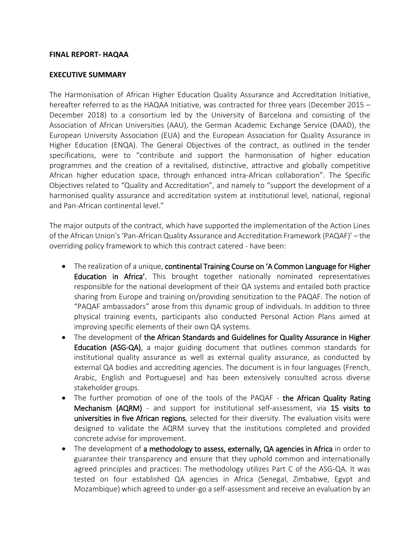## **FINAL REPORT- HAQAA**

## **EXECUTIVE SUMMARY**

The Harmonisation of African Higher Education Quality Assurance and Accreditation Initiative, hereafter referred to as the HAQAA Initiative, was contracted for three years (December 2015 – December 2018) to a consortium led by the University of Barcelona and consisting of the Association of African Universities (AAU), the German Academic Exchange Service (DAAD), the European University Association (EUA) and the European Association for Quality Assurance in Higher Education (ENQA). The General Objectives of the contract, as outlined in the tender specifications, were to "contribute and support the harmonisation of higher education programmes and the creation of a revitalised, distinctive, attractive and globally competitive African higher education space, through enhanced intra-African collaboration". The Specific Objectives related to "Quality and Accreditation", and namely to "support the development of a harmonised quality assurance and accreditation system at institutional level, national, regional and Pan-African continental level."

The major outputs of the contract, which have supported the implementation of the Action Lines of the African Union's 'Pan-African Quality Assurance and Accreditation Framework (PAQAF)' – the overriding policy framework to which this contract catered - have been:

- The realization of a unique, continental Training Course on 'A Common Language for Higher Education in Africa'. This brought together nationally nominated representatives responsible for the national development of their QA systems and entailed both practice sharing from Europe and training on/providing sensitization to the PAQAF. The notion of "PAQAF ambassadors" arose from this dynamic group of individuals. In addition to three physical training events, participants also conducted Personal Action Plans aimed at improving specific elements of their own QA systems.
- The development of the African Standards and Guidelines for Quality Assurance in Higher Education (ASG-QA), a major guiding document that outlines common standards for institutional quality assurance as well as external quality assurance, as conducted by external QA bodies and accrediting agencies. The document is in four languages (French, Arabic, English and Portuguese) and has been extensively consulted across diverse stakeholder groups.
- The further promotion of one of the tools of the PAQAF the African Quality Rating Mechanism (AQRM) - and support for institutional self-assessment, via 15 visits to universities in five African regions, selected for their diversity. The evaluation visits were designed to validate the AQRM survey that the institutions completed and provided concrete advise for improvement.
- The development of a methodology to assess, externally, QA agencies in Africa in order to guarantee their transparency and ensure that they uphold common and internationally agreed principles and practices: The methodology utilizes Part C of the ASG-QA. It was tested on four established QA agencies in Africa (Senegal, Zimbabwe, Egypt and Mozambique) which agreed to under-go a self-assessment and receive an evaluation by an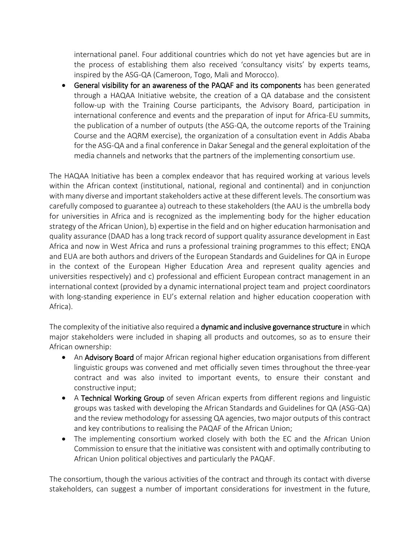international panel. Four additional countries which do not yet have agencies but are in the process of establishing them also received 'consultancy visits' by experts teams, inspired by the ASG-QA (Cameroon, Togo, Mali and Morocco).

• General visibility for an awareness of the PAQAF and its components has been generated through a HAQAA Initiative website, the creation of a QA database and the consistent follow-up with the Training Course participants, the Advisory Board, participation in international conference and events and the preparation of input for Africa-EU summits, the publication of a number of outputs (the ASG-QA, the outcome reports of the Training Course and the AQRM exercise), the organization of a consultation event in Addis Ababa for the ASG-QA and a final conference in Dakar Senegal and the general exploitation of the media channels and networks that the partners of the implementing consortium use.

The HAQAA Initiative has been a complex endeavor that has required working at various levels within the African context (institutional, national, regional and continental) and in conjunction with many diverse and important stakeholders active at these different levels. The consortium was carefully composed to guarantee a) outreach to these stakeholders (the AAU is the umbrella body for universities in Africa and is recognized as the implementing body for the higher education strategy of the African Union), b) expertise in the field and on higher education harmonisation and quality assurance (DAAD has a long track record of support quality assurance development in East Africa and now in West Africa and runs a professional training programmes to this effect; ENQA and EUA are both authors and drivers of the European Standards and Guidelines for QA in Europe in the context of the European Higher Education Area and represent quality agencies and universities respectively) and c) professional and efficient European contract management in an international context (provided by a dynamic international project team and project coordinators with long-standing experience in EU's external relation and higher education cooperation with Africa).

The complexity of the initiative also required a dynamic and inclusive governance structure in which major stakeholders were included in shaping all products and outcomes, so as to ensure their African ownership:

- An Advisory Board of major African regional higher education organisations from different linguistic groups was convened and met officially seven times throughout the three-year contract and was also invited to important events, to ensure their constant and constructive input;
- A Technical Working Group of seven African experts from different regions and linguistic groups was tasked with developing the African Standards and Guidelines for QA (ASG-QA) and the review methodology for assessing QA agencies, two major outputs of this contract and key contributions to realising the PAQAF of the African Union;
- The implementing consortium worked closely with both the EC and the African Union Commission to ensure that the initiative was consistent with and optimally contributing to African Union political objectives and particularly the PAQAF.

The consortium, though the various activities of the contract and through its contact with diverse stakeholders, can suggest a number of important considerations for investment in the future,